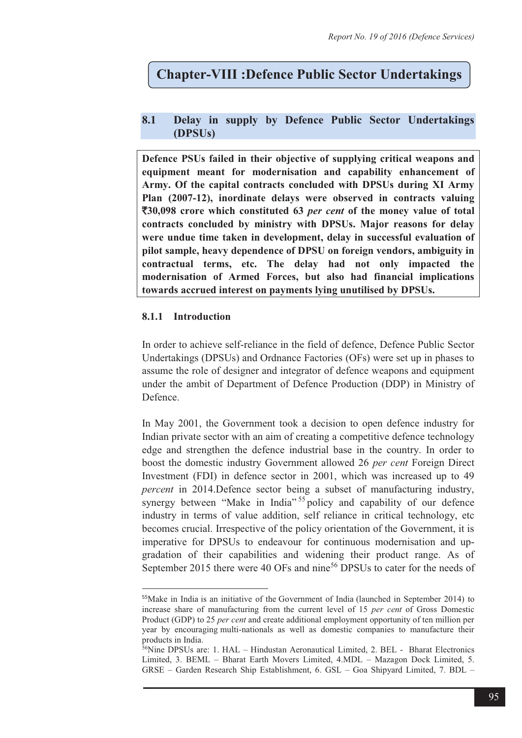# **Chapter-VIII :Defence Public Sector Undertakings**

# **8.1 Delay in supply by Defence Public Sector Undertakings (DPSUs)**

**Defence PSUs failed in their objective of supplying critical weapons and equipment meant for modernisation and capability enhancement of Army. Of the capital contracts concluded with DPSUs during XI Army Plan (2007-12), inordinate delays were observed in contracts valuing**  `**30,098 crore which constituted 63** *per cent* **of the money value of total contracts concluded by ministry with DPSUs. Major reasons for delay were undue time taken in development, delay in successful evaluation of pilot sample, heavy dependence of DPSU on foreign vendors, ambiguity in contractual terms, etc. The delay had not only impacted the modernisation of Armed Forces, but also had financial implications towards accrued interest on payments lying unutilised by DPSUs.** 

## **8.1.1 Introduction**

 $\overline{a}$ 

In order to achieve self-reliance in the field of defence, Defence Public Sector Undertakings (DPSUs) and Ordnance Factories (OFs) were set up in phases to assume the role of designer and integrator of defence weapons and equipment under the ambit of Department of Defence Production (DDP) in Ministry of Defence.

In May 2001, the Government took a decision to open defence industry for Indian private sector with an aim of creating a competitive defence technology edge and strengthen the defence industrial base in the country. In order to boost the domestic industry Government allowed 26 *per cent* Foreign Direct Investment (FDI) in defence sector in 2001, which was increased up to 49 *percent* in 2014.Defence sector being a subset of manufacturing industry, synergy between "Make in India"<sup>55</sup> policy and capability of our defence industry in terms of value addition, self reliance in critical technology, etc becomes crucial. Irrespective of the policy orientation of the Government, it is imperative for DPSUs to endeavour for continuous modernisation and upgradation of their capabilities and widening their product range. As of September 2015 there were 40 OFs and nine<sup>56</sup> DPSUs to cater for the needs of

<sup>55</sup>Make in India is an initiative of the Government of India (launched in September 2014) to increase share of manufacturing from the current level of 15 *per cent* of Gross Domestic Product (GDP) to 25 *per cent* and create additional employment opportunity of ten million per year by encouraging multi-nationals as well as domestic companies to manufacture their products in India.

 $56$ Nine DPSUs are: 1. HAL – Hindustan Aeronautical Limited, 2. BEL - Bharat Electronics Limited, 3. BEML – Bharat Earth Movers Limited, 4.MDL – Mazagon Dock Limited, 5. GRSE – Garden Research Ship Establishment, 6. GSL – Goa Shipyard Limited, 7. BDL –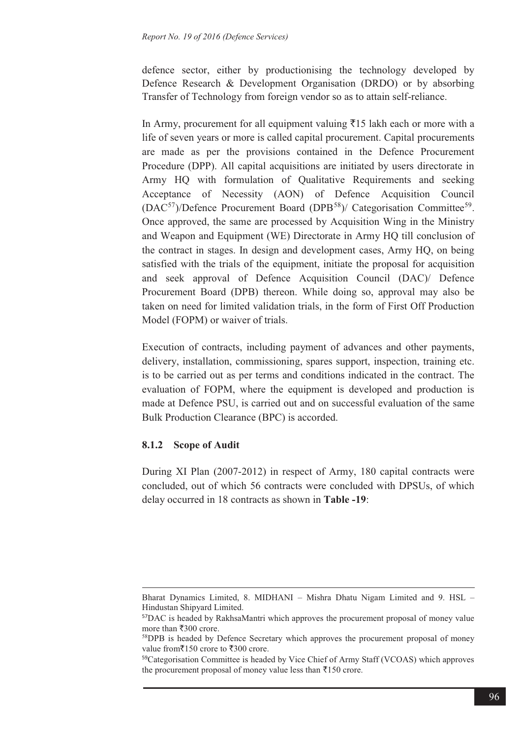defence sector, either by productionising the technology developed by Defence Research & Development Organisation (DRDO) or by absorbing Transfer of Technology from foreign vendor so as to attain self-reliance.

In Army, procurement for all equipment valuing  $\bar{z}$ 15 lakh each or more with a life of seven years or more is called capital procurement. Capital procurements are made as per the provisions contained in the Defence Procurement Procedure (DPP). All capital acquisitions are initiated by users directorate in Army HQ with formulation of Qualitative Requirements and seeking Acceptance of Necessity (AON) of Defence Acquisition Council  $(DAC<sup>57</sup>)/*Defence Procurrent Board (DPB<sup>58</sup>)/Categorisation Committee<sup>59</sup>.*$ Once approved, the same are processed by Acquisition Wing in the Ministry and Weapon and Equipment (WE) Directorate in Army HQ till conclusion of the contract in stages. In design and development cases, Army HQ, on being satisfied with the trials of the equipment, initiate the proposal for acquisition and seek approval of Defence Acquisition Council (DAC)/ Defence Procurement Board (DPB) thereon. While doing so, approval may also be taken on need for limited validation trials, in the form of First Off Production Model (FOPM) or waiver of trials.

Execution of contracts, including payment of advances and other payments, delivery, installation, commissioning, spares support, inspection, training etc. is to be carried out as per terms and conditions indicated in the contract. The evaluation of FOPM, where the equipment is developed and production is made at Defence PSU, is carried out and on successful evaluation of the same Bulk Production Clearance (BPC) is accorded.

#### **8.1.2 Scope of Audit**

 $\overline{a}$ 

During XI Plan (2007-2012) in respect of Army, 180 capital contracts were concluded, out of which 56 contracts were concluded with DPSUs, of which delay occurred in 18 contracts as shown in **Table -19**:

Bharat Dynamics Limited, 8. MIDHANI – Mishra Dhatu Nigam Limited and 9. HSL – Hindustan Shipyard Limited.

<sup>57</sup>DAC is headed by RakhsaMantri which approves the procurement proposal of money value more than  $\text{\textsterling}300$  crore.<br><sup>58</sup>DPB is headed by Defence Secretary which approves the procurement proposal of money

value from $\bar{\mathcal{F}}$ 150 crore to  $\bar{\mathcal{F}}$ 300 crore.<br><sup>59</sup>Categorisation Committee is headed by Vice Chief of Army Staff (VCOAS) which approves

the procurement proposal of money value less than  $\bar{x}$ 150 crore.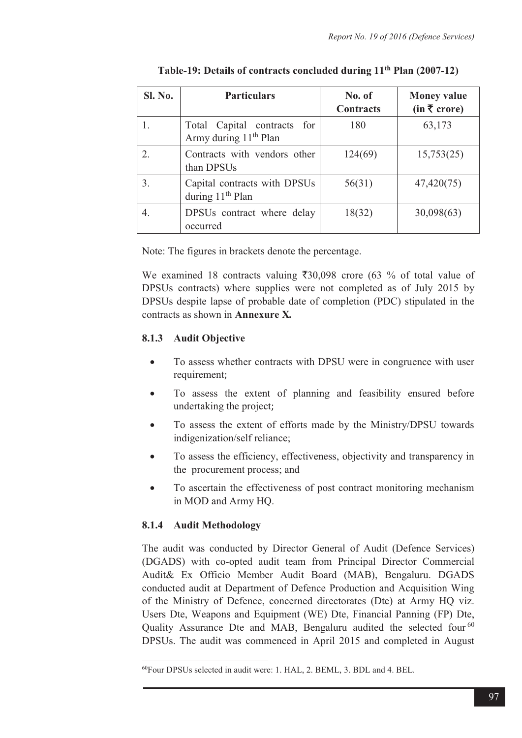| Sl. No. | <b>Particulars</b>                                                  | No. of<br><b>Contracts</b> | <b>Money value</b><br>(in ₹ correct) |
|---------|---------------------------------------------------------------------|----------------------------|--------------------------------------|
| 1.      | Total Capital contracts<br>for<br>Army during 11 <sup>th</sup> Plan | 180                        | 63,173                               |
| 2.      | Contracts with vendors other<br>than DPSUs                          | 124(69)                    | 15,753(25)                           |
| 3.      | Capital contracts with DPSUs<br>during 11 <sup>th</sup> Plan        | 56(31)                     | 47,420(75)                           |
| 4.      | DPSUs contract where delay<br>occurred                              | 18(32)                     | 30,098(63)                           |

**Table-19: Details of contracts concluded during 11th Plan (2007-12)** 

Note: The figures in brackets denote the percentage.

We examined 18 contracts valuing  $\overline{30,098}$  crore (63 % of total value of DPSUs contracts) where supplies were not completed as of July 2015 by DPSUs despite lapse of probable date of completion (PDC) stipulated in the contracts as shown in **Annexure X***.* 

## **8.1.3 Audit Objective**

- $\bullet$  To assess whether contracts with DPSU were in congruence with user requirement;
- - To assess the extent of planning and feasibility ensured before undertaking the project;
- - To assess the extent of efforts made by the Ministry/DPSU towards indigenization/self reliance;
- - To assess the efficiency, effectiveness, objectivity and transparency in the procurement process; and
- $\bullet$  To ascertain the effectiveness of post contract monitoring mechanism in MOD and Army HQ.

## **8.1.4 Audit Methodology**

 $\overline{a}$ 

The audit was conducted by Director General of Audit (Defence Services) (DGADS) with co-opted audit team from Principal Director Commercial Audit& Ex Officio Member Audit Board (MAB), Bengaluru. DGADS conducted audit at Department of Defence Production and Acquisition Wing of the Ministry of Defence, concerned directorates (Dte) at Army HQ viz. Users Dte, Weapons and Equipment (WE) Dte, Financial Panning (FP) Dte, Quality Assurance Dte and MAB, Bengaluru audited the selected four<sup>60</sup> DPSUs. The audit was commenced in April 2015 and completed in August

<sup>60</sup>Four DPSUs selected in audit were: 1. HAL, 2. BEML, 3. BDL and 4. BEL.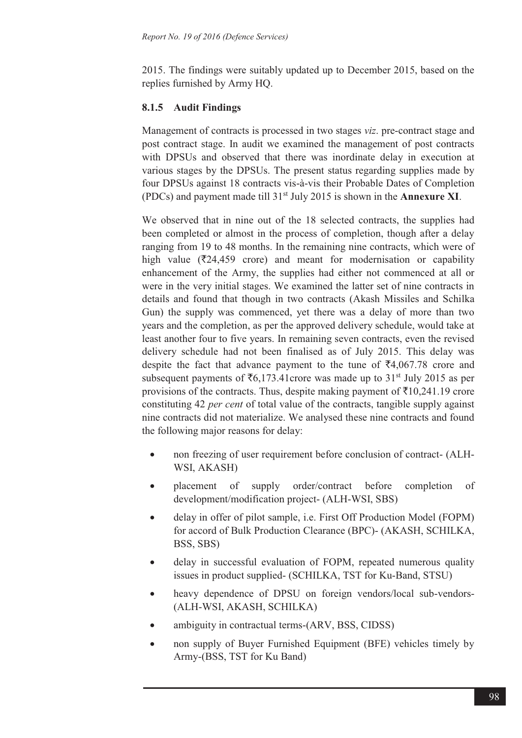2015. The findings were suitably updated up to December 2015, based on the replies furnished by Army HQ.

## **8.1.5 Audit Findings**

Management of contracts is processed in two stages *viz*. pre-contract stage and post contract stage. In audit we examined the management of post contracts with DPSUs and observed that there was inordinate delay in execution at various stages by the DPSUs. The present status regarding supplies made by four DPSUs against 18 contracts vis-à-vis their Probable Dates of Completion (PDCs) and payment made till 31st July 2015 is shown in the **Annexure XI**.

We observed that in nine out of the 18 selected contracts, the supplies had been completed or almost in the process of completion, though after a delay ranging from 19 to 48 months. In the remaining nine contracts, which were of high value ( $\overline{z}$ 24,459 crore) and meant for modernisation or capability enhancement of the Army, the supplies had either not commenced at all or were in the very initial stages. We examined the latter set of nine contracts in details and found that though in two contracts (Akash Missiles and Schilka Gun) the supply was commenced, yet there was a delay of more than two years and the completion, as per the approved delivery schedule, would take at least another four to five years. In remaining seven contracts, even the revised delivery schedule had not been finalised as of July 2015. This delay was despite the fact that advance payment to the tune of  $\bar{\mathcal{F}}4,067.78$  crore and subsequent payments of  $\bar{c}6,173.41$ crore was made up to 31<sup>st</sup> July 2015 as per provisions of the contracts. Thus, despite making payment of  $\bar{\tau}$ 10,241.19 crore constituting 42 *per cent* of total value of the contracts, tangible supply against nine contracts did not materialize. We analysed these nine contracts and found the following major reasons for delay:

- non freezing of user requirement before conclusion of contract- (ALH-WSI, AKASH)
- placement of supply order/contract before completion of development/modification project- (ALH-WSI, SBS)
- delay in offer of pilot sample, i.e. First Off Production Model (FOPM) for accord of Bulk Production Clearance (BPC)- (AKASH, SCHILKA, BSS, SBS)
- delay in successful evaluation of FOPM, repeated numerous quality issues in product supplied- (SCHILKA, TST for Ku-Band, STSU)
- heavy dependence of DPSU on foreign vendors/local sub-vendors- (ALH-WSI, AKASH, SCHILKA)
- ambiguity in contractual terms-(ARV, BSS, CIDSS)
- non supply of Buyer Furnished Equipment (BFE) vehicles timely by Army-(BSS, TST for Ku Band)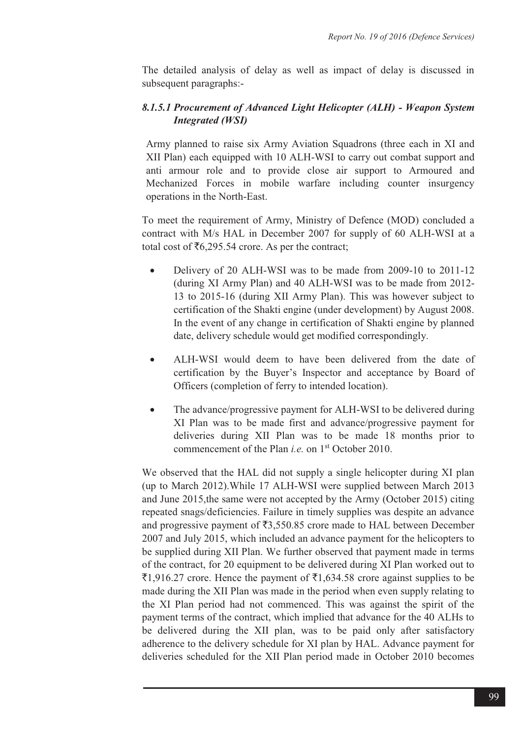The detailed analysis of delay as well as impact of delay is discussed in subsequent paragraphs:-

# *8.1.5.1 Procurement of Advanced Light Helicopter (ALH) - Weapon System Integrated (WSI)*

Army planned to raise six Army Aviation Squadrons (three each in XI and XII Plan) each equipped with 10 ALH-WSI to carry out combat support and anti armour role and to provide close air support to Armoured and Mechanized Forces in mobile warfare including counter insurgency operations in the North-East.

To meet the requirement of Army, Ministry of Defence (MOD) concluded a contract with M/s HAL in December 2007 for supply of 60 ALH-WSI at a total cost of  $\bar{\mathfrak{c}}$ 6,295.54 crore. As per the contract;

- - Delivery of 20 ALH-WSI was to be made from 2009-10 to 2011-12 (during XI Army Plan) and 40 ALH-WSI was to be made from 2012- 13 to 2015-16 (during XII Army Plan). This was however subject to certification of the Shakti engine (under development) by August 2008. In the event of any change in certification of Shakti engine by planned date, delivery schedule would get modified correspondingly.
- $\bullet$  ALH-WSI would deem to have been delivered from the date of certification by the Buyer's Inspector and acceptance by Board of Officers (completion of ferry to intended location).
- $\bullet$  The advance/progressive payment for ALH-WSI to be delivered during XI Plan was to be made first and advance/progressive payment for deliveries during XII Plan was to be made 18 months prior to commencement of the Plan *i.e.* on 1<sup>st</sup> October 2010.

We observed that the HAL did not supply a single helicopter during XI plan (up to March 2012).While 17 ALH-WSI were supplied between March 2013 and June 2015,the same were not accepted by the Army (October 2015) citing repeated snags/deficiencies. Failure in timely supplies was despite an advance and progressive payment of  $\bar{\bar{\xi}}$ 3,550.85 crore made to HAL between December 2007 and July 2015, which included an advance payment for the helicopters to be supplied during XII Plan. We further observed that payment made in terms of the contract, for 20 equipment to be delivered during XI Plan worked out to  $\bar{z}1,916.27$  crore. Hence the payment of  $\bar{z}1,634.58$  crore against supplies to be made during the XII Plan was made in the period when even supply relating to the XI Plan period had not commenced. This was against the spirit of the payment terms of the contract, which implied that advance for the 40 ALHs to be delivered during the XII plan, was to be paid only after satisfactory adherence to the delivery schedule for XI plan by HAL. Advance payment for deliveries scheduled for the XII Plan period made in October 2010 becomes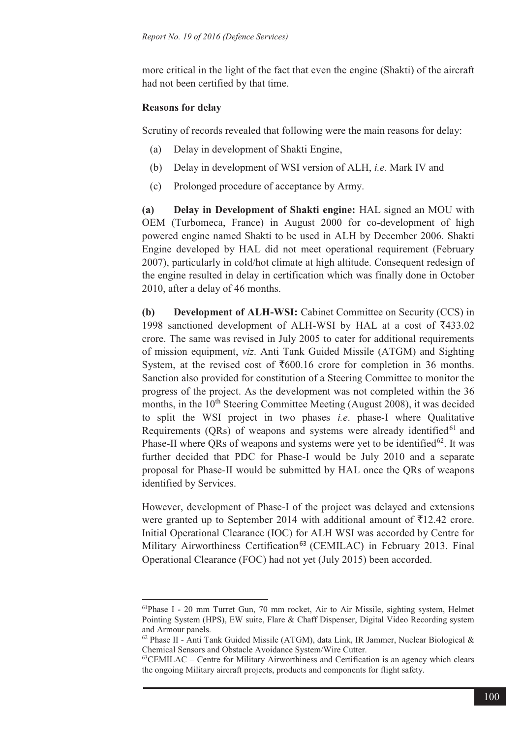more critical in the light of the fact that even the engine (Shakti) of the aircraft had not been certified by that time.

#### **Reasons for delay**

 $\overline{a}$ 

Scrutiny of records revealed that following were the main reasons for delay:

- (a) Delay in development of Shakti Engine,
- (b) Delay in development of WSI version of ALH, *i.e.* Mark IV and
- (c) Prolonged procedure of acceptance by Army.

**(a) Delay in Development of Shakti engine:** HAL signed an MOU with OEM (Turbomeca, France) in August 2000 for co-development of high powered engine named Shakti to be used in ALH by December 2006. Shakti Engine developed by HAL did not meet operational requirement (February 2007), particularly in cold/hot climate at high altitude. Consequent redesign of the engine resulted in delay in certification which was finally done in October 2010, after a delay of 46 months.

**(b) Development of ALH-WSI:** Cabinet Committee on Security (CCS) in 1998 sanctioned development of ALH-WSI by HAL at a cost of  $\overline{5}433.02$ crore. The same was revised in July 2005 to cater for additional requirements of mission equipment, *viz*. Anti Tank Guided Missile (ATGM) and Sighting System, at the revised cost of  $\text{\textsterling}600.16$  crore for completion in 36 months. Sanction also provided for constitution of a Steering Committee to monitor the progress of the project. As the development was not completed within the 36 months, in the  $10<sup>th</sup>$  Steering Committee Meeting (August 2008), it was decided to split the WSI project in two phases *i.e*. phase-I where Qualitative Requirements (QRs) of weapons and systems were already identified $61$  and Phase-II where QRs of weapons and systems were yet to be identified<sup>62</sup>. It was further decided that PDC for Phase-I would be July 2010 and a separate proposal for Phase-II would be submitted by HAL once the QRs of weapons identified by Services.

However, development of Phase-I of the project was delayed and extensions were granted up to September 2014 with additional amount of  $\bar{\tau}$ 12.42 crore. Initial Operational Clearance (IOC) for ALH WSI was accorded by Centre for Military Airworthiness Certification<sup>63</sup> (CEMILAC) in February 2013. Final Operational Clearance (FOC) had not yet (July 2015) been accorded.

<sup>61</sup>Phase I - 20 mm Turret Gun, 70 mm rocket, Air to Air Missile, sighting system, Helmet Pointing System (HPS), EW suite, Flare & Chaff Dispenser, Digital Video Recording system and Armour panels.

 $62$  Phase II - Anti Tank Guided Missile (ATGM), data Link, IR Jammer, Nuclear Biological & Chemical Sensors and Obstacle Avoidance System/Wire Cutter.

 $^{63}$ CEMILAC – Centre for Military Airworthiness and Certification is an agency which clears the ongoing Military aircraft projects, products and components for flight safety.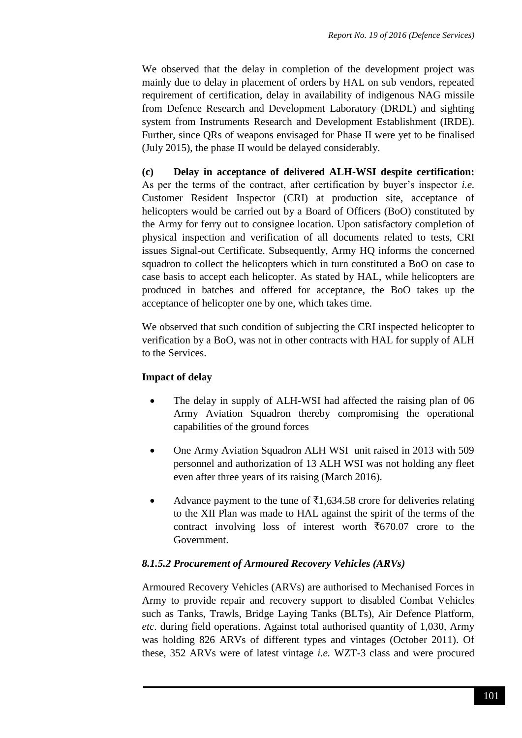We observed that the delay in completion of the development project was mainly due to delay in placement of orders by HAL on sub vendors, repeated requirement of certification, delay in availability of indigenous NAG missile from Defence Research and Development Laboratory (DRDL) and sighting system from Instruments Research and Development Establishment (IRDE). Further, since QRs of weapons envisaged for Phase II were yet to be finalised (July 2015), the phase II would be delayed considerably.

**(c) Delay in acceptance of delivered ALH-WSI despite certification:**  As per the terms of the contract, after certification by buyer's inspector *i.e.* Customer Resident Inspector (CRI) at production site, acceptance of helicopters would be carried out by a Board of Officers (BoO) constituted by the Army for ferry out to consignee location. Upon satisfactory completion of physical inspection and verification of all documents related to tests, CRI issues Signal-out Certificate. Subsequently, Army HQ informs the concerned squadron to collect the helicopters which in turn constituted a BoO on case to case basis to accept each helicopter. As stated by HAL, while helicopters are produced in batches and offered for acceptance, the BoO takes up the acceptance of helicopter one by one, which takes time.

We observed that such condition of subjecting the CRI inspected helicopter to verification by a BoO, was not in other contracts with HAL for supply of ALH to the Services.

## **Impact of delay**

- The delay in supply of ALH-WSI had affected the raising plan of 06 Army Aviation Squadron thereby compromising the operational capabilities of the ground forces
- One Army Aviation Squadron ALH WSI unit raised in 2013 with 509 personnel and authorization of 13 ALH WSI was not holding any fleet even after three years of its raising (March 2016).
- Advance payment to the tune of  $\bar{\tau}1,634.58$  crore for deliveries relating to the XII Plan was made to HAL against the spirit of the terms of the contract involving loss of interest worth  $\overline{670.07}$  crore to the Government.

#### *8.1.5.2 Procurement of Armoured Recovery Vehicles (ARVs)*

Armoured Recovery Vehicles (ARVs) are authorised to Mechanised Forces in Army to provide repair and recovery support to disabled Combat Vehicles such as Tanks, Trawls, Bridge Laying Tanks (BLTs), Air Defence Platform, *etc*. during field operations. Against total authorised quantity of 1,030, Army was holding 826 ARVs of different types and vintages (October 2011). Of these, 352 ARVs were of latest vintage *i.e.* WZT-3 class and were procured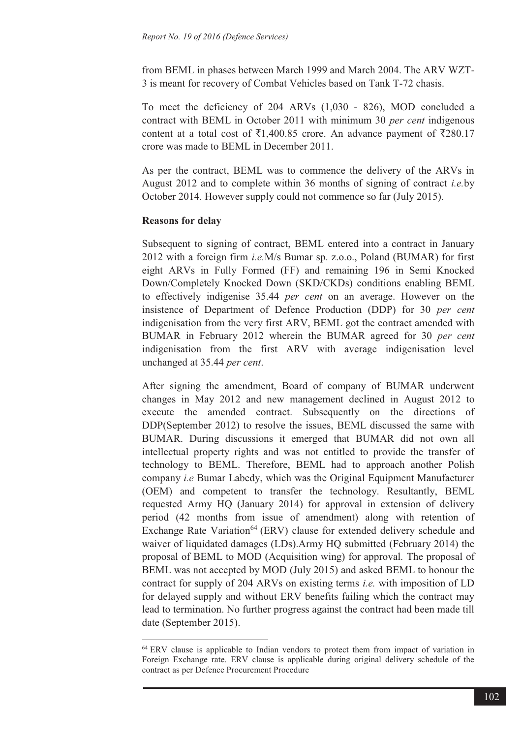from BEML in phases between March 1999 and March 2004. The ARV WZT-3 is meant for recovery of Combat Vehicles based on Tank T-72 chasis.

To meet the deficiency of 204 ARVs (1,030 - 826), MOD concluded a contract with BEML in October 2011 with minimum 30 *per cent* indigenous content at a total cost of  $\overline{5}1,400.85$  crore. An advance payment of  $\overline{5}280.17$ crore was made to BEML in December 2011.

As per the contract, BEML was to commence the delivery of the ARVs in August 2012 and to complete within 36 months of signing of contract *i.e.*by October 2014. However supply could not commence so far (July 2015).

#### **Reasons for delay**

 $\overline{a}$ 

Subsequent to signing of contract, BEML entered into a contract in January 2012 with a foreign firm *i.e.*M/s Bumar sp. z.o.o., Poland (BUMAR) for first eight ARVs in Fully Formed (FF) and remaining 196 in Semi Knocked Down/Completely Knocked Down (SKD/CKDs) conditions enabling BEML to effectively indigenise 35.44 *per cent* on an average. However on the insistence of Department of Defence Production (DDP) for 30 *per cent*  indigenisation from the very first ARV, BEML got the contract amended with BUMAR in February 2012 wherein the BUMAR agreed for 30 *per cent*  indigenisation from the first ARV with average indigenisation level unchanged at 35.44 *per cent*.

After signing the amendment, Board of company of BUMAR underwent changes in May 2012 and new management declined in August 2012 to execute the amended contract. Subsequently on the directions of DDP(September 2012) to resolve the issues, BEML discussed the same with BUMAR. During discussions it emerged that BUMAR did not own all intellectual property rights and was not entitled to provide the transfer of technology to BEML. Therefore, BEML had to approach another Polish company *i.e* Bumar Labedy, which was the Original Equipment Manufacturer (OEM) and competent to transfer the technology. Resultantly, BEML requested Army HQ (January 2014) for approval in extension of delivery period (42 months from issue of amendment) along with retention of Exchange Rate Variation<sup>64</sup> (ERV) clause for extended delivery schedule and waiver of liquidated damages (LDs).Army HQ submitted (February 2014) the proposal of BEML to MOD (Acquisition wing) for approval*.* The proposal of BEML was not accepted by MOD (July 2015) and asked BEML to honour the contract for supply of 204 ARVs on existing terms *i.e.* with imposition of LD for delayed supply and without ERV benefits failing which the contract may lead to termination. No further progress against the contract had been made till date (September 2015).

<sup>&</sup>lt;sup>64</sup> ERV clause is applicable to Indian vendors to protect them from impact of variation in Foreign Exchange rate. ERV clause is applicable during original delivery schedule of the contract as per Defence Procurement Procedure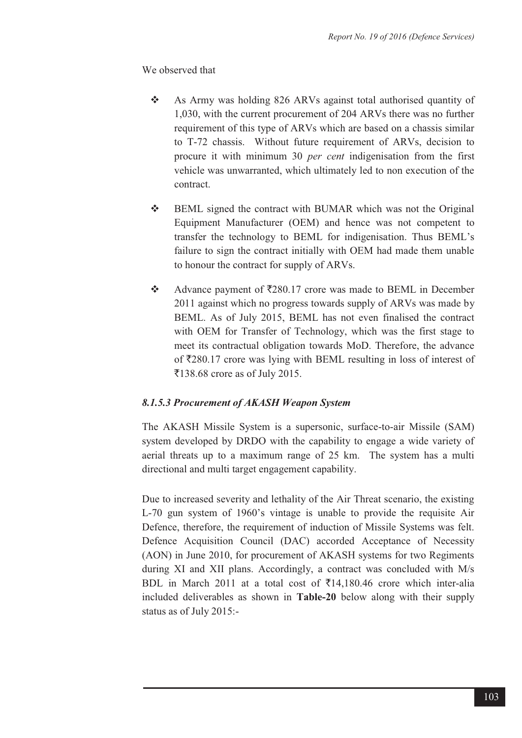We observed that

- $\frac{1}{2}$  As Army was holding 826 ARVs against total authorised quantity of 1,030, with the current procurement of 204 ARVs there was no further requirement of this type of ARVs which are based on a chassis similar to T-72 chassis. Without future requirement of ARVs, decision to procure it with minimum 30 *per cent* indigenisation from the first vehicle was unwarranted, which ultimately led to non execution of the contract.
- $\frac{1}{2}$  BEML signed the contract with BUMAR which was not the Original Equipment Manufacturer (OEM) and hence was not competent to transfer the technology to BEML for indigenisation. Thus BEML's failure to sign the contract initially with OEM had made them unable to honour the contract for supply of ARVs.
- $\frac{1}{2}$ Advance payment of  $\overline{\xi}280.17$  crore was made to BEML in December 2011 against which no progress towards supply of ARVs was made by BEML. As of July 2015, BEML has not even finalised the contract with OEM for Transfer of Technology, which was the first stage to meet its contractual obligation towards MoD. Therefore, the advance of  $\overline{280.17}$  crore was lying with BEML resulting in loss of interest of  $\overline{5}$ 138.68 crore as of July 2015.

## *8.1.5.3 Procurement of AKASH Weapon System*

The AKASH Missile System is a supersonic, surface-to-air Missile (SAM) system developed by DRDO with the capability to engage a wide variety of aerial threats up to a maximum range of 25 km. The system has a multi directional and multi target engagement capability.

Due to increased severity and lethality of the Air Threat scenario, the existing L-70 gun system of 1960's vintage is unable to provide the requisite Air Defence, therefore, the requirement of induction of Missile Systems was felt. Defence Acquisition Council (DAC) accorded Acceptance of Necessity (AON) in June 2010, for procurement of AKASH systems for two Regiments during XI and XII plans. Accordingly, a contract was concluded with M/s BDL in March 2011 at a total cost of  $\bar{\tau}$ 14,180.46 crore which inter-alia included deliverables as shown in **Table-20** below along with their supply status as of July 2015:-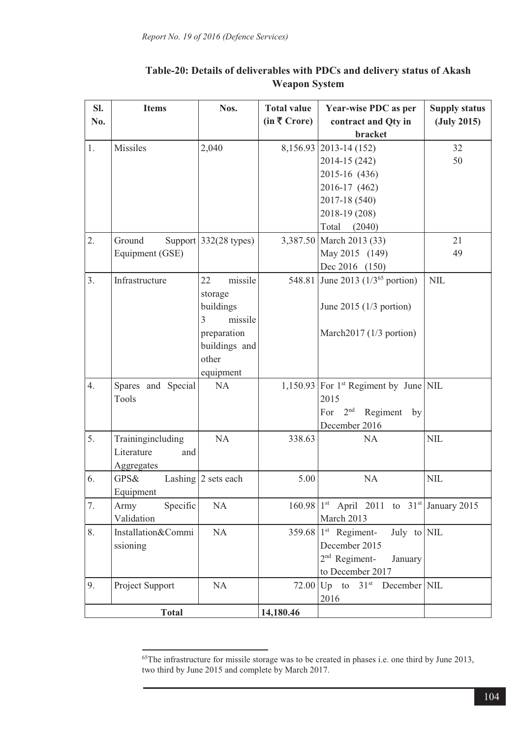| SI.          | <b>Items</b>       | Nos.                            | <b>Total value</b>      | Year-wise PDC as per                                                   | <b>Supply status</b>    |
|--------------|--------------------|---------------------------------|-------------------------|------------------------------------------------------------------------|-------------------------|
| No.          |                    |                                 | $(in \bar{\tau}$ Crore) | contract and Qty in                                                    | $(\mathrm{July}\ 2015)$ |
|              |                    |                                 |                         | bracket                                                                |                         |
| 1.           | Missiles           | 2,040                           |                         | 8,156.93 2013-14 (152)                                                 | 32                      |
|              |                    |                                 |                         | 2014-15 (242)                                                          | 50                      |
|              |                    |                                 |                         | 2015-16 (436)                                                          |                         |
|              |                    |                                 |                         | 2016-17 (462)                                                          |                         |
|              |                    |                                 |                         | 2017-18 (540)                                                          |                         |
|              |                    |                                 |                         | 2018-19 (208)                                                          |                         |
|              |                    |                                 |                         | Total (2040)                                                           |                         |
| 2.           | Ground             | Support $332(28 \text{ types})$ |                         | 3,387.50 March 2013 (33)                                               | 21                      |
|              | Equipment (GSE)    |                                 |                         | May 2015 (149)                                                         | 49                      |
|              |                    |                                 |                         | Dec 2016 (150)                                                         |                         |
| 3.           | Infrastructure     | missile<br>22                   |                         | 548.81 June 2013 (1/3 <sup>65</sup> portion)                           | NIL                     |
|              |                    | storage                         |                         |                                                                        |                         |
|              |                    | buildings                       |                         | June 2015 ( $1/3$ portion)                                             |                         |
|              |                    | 3<br>missile                    |                         |                                                                        |                         |
|              |                    | preparation                     |                         | March2017 (1/3 portion)                                                |                         |
|              |                    | buildings and                   |                         |                                                                        |                         |
|              |                    | other                           |                         |                                                                        |                         |
|              |                    | equipment                       |                         |                                                                        |                         |
| 4.           | Spares and Special | <b>NA</b>                       |                         | $1,150.93$ For 1 <sup>st</sup> Regiment by June NIL                    |                         |
|              | Tools              |                                 |                         | 2015                                                                   |                         |
|              |                    |                                 |                         | Regiment by<br>2 <sup>nd</sup><br>For                                  |                         |
|              |                    |                                 |                         | December 2016                                                          |                         |
| 5.           | Trainingincluding  | NA                              | 338.63                  | <b>NA</b>                                                              | <b>NIL</b>              |
|              | Literature<br>and  |                                 |                         |                                                                        |                         |
|              | Aggregates         |                                 |                         |                                                                        |                         |
| 6.           | GPS&               | Lashing 2 sets each             | 5.00                    | NA                                                                     | <b>NIL</b>              |
|              | Equipment          |                                 |                         |                                                                        |                         |
| 7.           | Specific<br>Army   | NA                              |                         | $160.98$   1 <sup>st</sup> April 2011 to 31 <sup>st</sup> January 2015 |                         |
|              | Validation         |                                 |                         | March 2013                                                             |                         |
| 8.           | Installation&Commi | NA                              |                         | $359.68$ 1st Regiment-<br>July to NIL                                  |                         |
|              | ssioning           |                                 |                         | December 2015                                                          |                         |
|              |                    |                                 |                         | $2nd$ Regiment-<br>January                                             |                         |
|              |                    |                                 |                         | to December 2017                                                       |                         |
| 9.           | Project Support    | <b>NA</b>                       |                         | 72.00 $Up$ to 31 <sup>st</sup> December NIL                            |                         |
|              |                    |                                 |                         | 2016                                                                   |                         |
| <b>Total</b> |                    |                                 | 14,180.46               |                                                                        |                         |

# **Table-20: Details of deliverables with PDCs and delivery status of Akash Weapon System**

 $\overline{a}$ 

<sup>&</sup>lt;sup>65</sup>The infrastructure for missile storage was to be created in phases i.e. one third by June 2013, two third by June 2015 and complete by March 2017.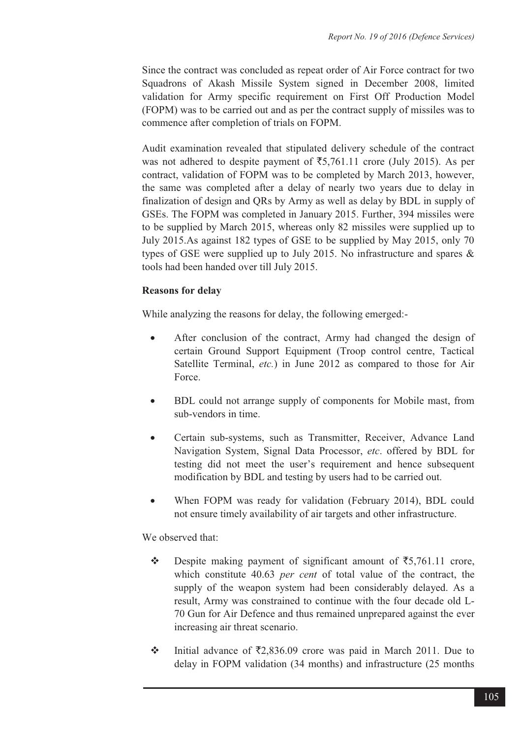Since the contract was concluded as repeat order of Air Force contract for two Squadrons of Akash Missile System signed in December 2008, limited validation for Army specific requirement on First Off Production Model (FOPM) was to be carried out and as per the contract supply of missiles was to commence after completion of trials on FOPM.

Audit examination revealed that stipulated delivery schedule of the contract was not adhered to despite payment of  $\overline{5,761.11}$  crore (July 2015). As per contract, validation of FOPM was to be completed by March 2013, however, the same was completed after a delay of nearly two years due to delay in finalization of design and QRs by Army as well as delay by BDL in supply of GSEs. The FOPM was completed in January 2015. Further, 394 missiles were to be supplied by March 2015, whereas only 82 missiles were supplied up to July 2015.As against 182 types of GSE to be supplied by May 2015, only 70 types of GSE were supplied up to July 2015. No infrastructure and spares & tools had been handed over till July 2015.

#### **Reasons for delay**

While analyzing the reasons for delay, the following emerged:-

- - After conclusion of the contract, Army had changed the design of certain Ground Support Equipment (Troop control centre, Tactical Satellite Terminal, *etc.*) in June 2012 as compared to those for Air Force.
- - BDL could not arrange supply of components for Mobile mast, from sub-vendors in time.
- - Certain sub-systems, such as Transmitter, Receiver, Advance Land Navigation System, Signal Data Processor, *etc*. offered by BDL for testing did not meet the user's requirement and hence subsequent modification by BDL and testing by users had to be carried out.
- - When FOPM was ready for validation (February 2014), BDL could not ensure timely availability of air targets and other infrastructure.

#### We observed that:

- $\frac{1}{2}$ Despite making payment of significant amount of  $\overline{55,761.11}$  crore, which constitute 40.63 *per cent* of total value of the contract, the supply of the weapon system had been considerably delayed. As a result, Army was constrained to continue with the four decade old L-70 Gun for Air Defence and thus remained unprepared against the ever increasing air threat scenario.
- $\frac{1}{2}$ Initial advance of  $\bar{\mathcal{L}}$ ,836.09 crore was paid in March 2011. Due to delay in FOPM validation (34 months) and infrastructure (25 months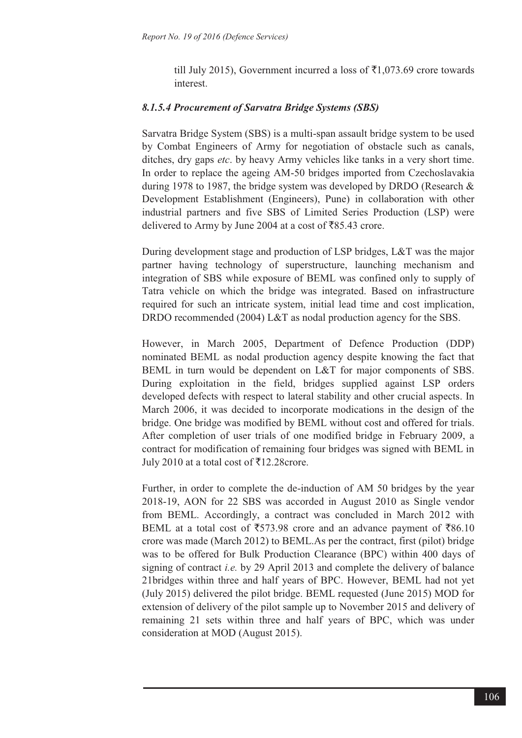till July 2015), Government incurred a loss of  $\bar{\tau}$ 1,073.69 crore towards interest.

#### *8.1.5.4 Procurement of Sarvatra Bridge Systems (SBS)*

Sarvatra Bridge System (SBS) is a multi-span assault bridge system to be used by Combat Engineers of Army for negotiation of obstacle such as canals, ditches, dry gaps *etc*. by heavy Army vehicles like tanks in a very short time. In order to replace the ageing AM-50 bridges imported from Czechoslavakia during 1978 to 1987, the bridge system was developed by DRDO (Research & Development Establishment (Engineers), Pune) in collaboration with other industrial partners and five SBS of Limited Series Production (LSP) were delivered to Army by June 2004 at a cost of  $\overline{585.43}$  crore.

During development stage and production of LSP bridges, L&T was the major partner having technology of superstructure, launching mechanism and integration of SBS while exposure of BEML was confined only to supply of Tatra vehicle on which the bridge was integrated. Based on infrastructure required for such an intricate system, initial lead time and cost implication, DRDO recommended (2004) L&T as nodal production agency for the SBS.

However, in March 2005, Department of Defence Production (DDP) nominated BEML as nodal production agency despite knowing the fact that BEML in turn would be dependent on L&T for major components of SBS. During exploitation in the field, bridges supplied against LSP orders developed defects with respect to lateral stability and other crucial aspects. In March 2006, it was decided to incorporate modications in the design of the bridge. One bridge was modified by BEML without cost and offered for trials. After completion of user trials of one modified bridge in February 2009, a contract for modification of remaining four bridges was signed with BEML in July 2010 at a total cost of  $\overline{5}$ 12.28crore.

Further, in order to complete the de-induction of AM 50 bridges by the year 2018-19, AON for 22 SBS was accorded in August 2010 as Single vendor from BEML. Accordingly, a contract was concluded in March 2012 with BEML at a total cost of  $\overline{573.98}$  crore and an advance payment of  $\overline{586.10}$ crore was made (March 2012) to BEML.As per the contract, first (pilot) bridge was to be offered for Bulk Production Clearance (BPC) within 400 days of signing of contract *i.e.* by 29 April 2013 and complete the delivery of balance 21bridges within three and half years of BPC. However, BEML had not yet (July 2015) delivered the pilot bridge. BEML requested (June 2015) MOD for extension of delivery of the pilot sample up to November 2015 and delivery of remaining 21 sets within three and half years of BPC, which was under consideration at MOD (August 2015).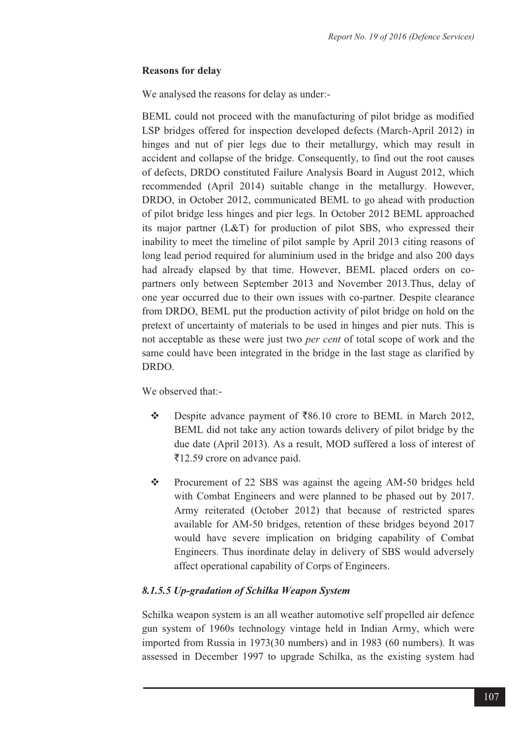#### **Reasons for delay**

We analysed the reasons for delay as under:-

BEML could not proceed with the manufacturing of pilot bridge as modified LSP bridges offered for inspection developed defects (March-April 2012) in hinges and nut of pier legs due to their metallurgy, which may result in accident and collapse of the bridge. Consequently, to find out the root causes of defects, DRDO constituted Failure Analysis Board in August 2012, which recommended (April 2014) suitable change in the metallurgy. However, DRDO, in October 2012, communicated BEML to go ahead with production of pilot bridge less hinges and pier legs. In October 2012 BEML approached its major partner (L&T) for production of pilot SBS, who expressed their inability to meet the timeline of pilot sample by April 2013 citing reasons of long lead period required for aluminium used in the bridge and also 200 days had already elapsed by that time. However, BEML placed orders on copartners only between September 2013 and November 2013.Thus, delay of one year occurred due to their own issues with co-partner. Despite clearance from DRDO, BEML put the production activity of pilot bridge on hold on the pretext of uncertainty of materials to be used in hinges and pier nuts. This is not acceptable as these were just two *per cent* of total scope of work and the same could have been integrated in the bridge in the last stage as clarified by DRDO.

We observed that --

- $\frac{1}{2}$ Despite advance payment of  $\overline{586.10}$  crore to BEML in March 2012, BEML did not take any action towards delivery of pilot bridge by the due date (April 2013). As a result, MOD suffered a loss of interest of ₹12.59 crore on advance paid.
- $\frac{1}{2}$  Procurement of 22 SBS was against the ageing AM-50 bridges held with Combat Engineers and were planned to be phased out by 2017. Army reiterated (October 2012) that because of restricted spares available for AM-50 bridges, retention of these bridges beyond 2017 would have severe implication on bridging capability of Combat Engineers. Thus inordinate delay in delivery of SBS would adversely affect operational capability of Corps of Engineers.

## *8.1.5.5 Up-gradation of Schilka Weapon System*

Schilka weapon system is an all weather automotive self propelled air defence gun system of 1960s technology vintage held in Indian Army, which were imported from Russia in 1973(30 numbers) and in 1983 (60 numbers). It was assessed in December 1997 to upgrade Schilka, as the existing system had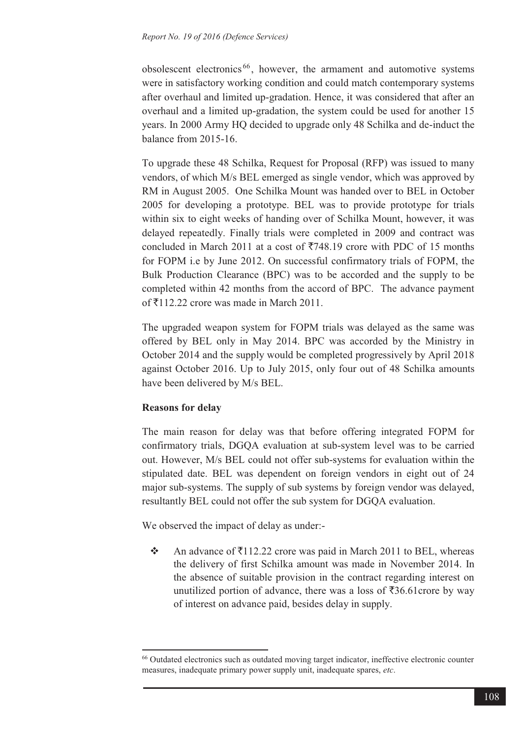obsolescent electronics <sup>66</sup> , however, the armament and automotive systems were in satisfactory working condition and could match contemporary systems after overhaul and limited up-gradation. Hence, it was considered that after an overhaul and a limited up-gradation, the system could be used for another 15 years. In 2000 Army HQ decided to upgrade only 48 Schilka and de-induct the balance from 2015-16.

To upgrade these 48 Schilka, Request for Proposal (RFP) was issued to many vendors, of which M/s BEL emerged as single vendor, which was approved by RM in August 2005. One Schilka Mount was handed over to BEL in October 2005 for developing a prototype. BEL was to provide prototype for trials within six to eight weeks of handing over of Schilka Mount, however, it was delayed repeatedly. Finally trials were completed in 2009 and contract was concluded in March 2011 at a cost of  $\overline{5748.19}$  crore with PDC of 15 months for FOPM i.e by June 2012. On successful confirmatory trials of FOPM, the Bulk Production Clearance (BPC) was to be accorded and the supply to be completed within 42 months from the accord of BPC. The advance payment of  $\bar{\tau}$ 112.22 crore was made in March 2011.

The upgraded weapon system for FOPM trials was delayed as the same was offered by BEL only in May 2014. BPC was accorded by the Ministry in October 2014 and the supply would be completed progressively by April 2018 against October 2016. Up to July 2015, only four out of 48 Schilka amounts have been delivered by M/s BEL.

#### **Reasons for delay**

 $\overline{a}$ 

The main reason for delay was that before offering integrated FOPM for confirmatory trials, DGQA evaluation at sub-system level was to be carried out. However, M/s BEL could not offer sub-systems for evaluation within the stipulated date. BEL was dependent on foreign vendors in eight out of 24 major sub-systems. The supply of sub systems by foreign vendor was delayed, resultantly BEL could not offer the sub system for DGQA evaluation.

We observed the impact of delay as under:-

 $\frac{1}{2}$ An advance of  $\bar{\xi}$ 112.22 crore was paid in March 2011 to BEL, whereas the delivery of first Schilka amount was made in November 2014. In the absence of suitable provision in the contract regarding interest on unutilized portion of advance, there was a loss of  $\overline{536.61}$ crore by way of interest on advance paid, besides delay in supply.

<sup>66</sup> Outdated electronics such as outdated moving target indicator, ineffective electronic counter measures, inadequate primary power supply unit, inadequate spares, *etc*.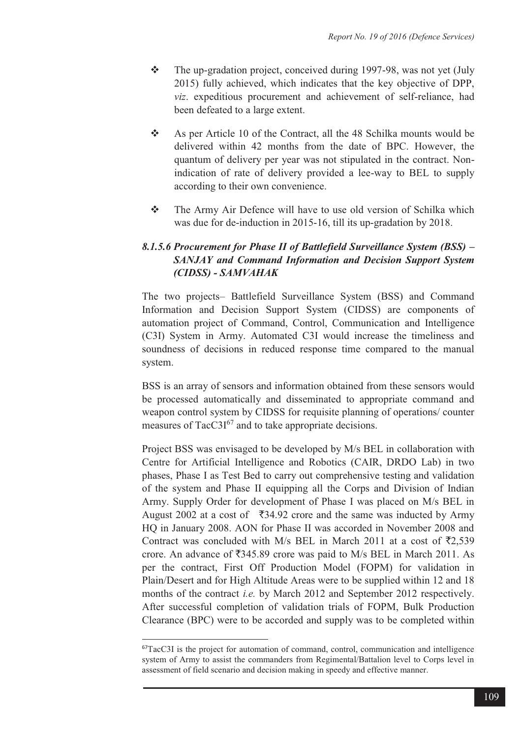- $\frac{1}{2}$  The up-gradation project, conceived during 1997-98, was not yet (July 2015) fully achieved, which indicates that the key objective of DPP, *viz*. expeditious procurement and achievement of self-reliance, had been defeated to a large extent.
- $\frac{1}{2}$  As per Article 10 of the Contract, all the 48 Schilka mounts would be delivered within 42 months from the date of BPC. However, the quantum of delivery per year was not stipulated in the contract. Nonindication of rate of delivery provided a lee-way to BEL to supply according to their own convenience.
- $\frac{1}{2}$  The Army Air Defence will have to use old version of Schilka which was due for de-induction in 2015-16, till its up-gradation by 2018.

# *8.1.5.6 Procurement for Phase II of Battlefield Surveillance System (BSS) – SANJAY and Command Information and Decision Support System (CIDSS) - SAMVAHAK*

The two projects– Battlefield Surveillance System (BSS) and Command Information and Decision Support System (CIDSS) are components of automation project of Command, Control, Communication and Intelligence (C3I) System in Army. Automated C3I would increase the timeliness and soundness of decisions in reduced response time compared to the manual system.

BSS is an array of sensors and information obtained from these sensors would be processed automatically and disseminated to appropriate command and weapon control system by CIDSS for requisite planning of operations/ counter measures of  $Tacc3I^{67}$  and to take appropriate decisions.

Project BSS was envisaged to be developed by M/s BEL in collaboration with Centre for Artificial Intelligence and Robotics (CAIR, DRDO Lab) in two phases, Phase I as Test Bed to carry out comprehensive testing and validation of the system and Phase II equipping all the Corps and Division of Indian Army. Supply Order for development of Phase I was placed on M/s BEL in August 2002 at a cost of  $\overline{5}34.92$  crore and the same was inducted by Army HQ in January 2008. AON for Phase II was accorded in November 2008 and Contract was concluded with M/s BEL in March 2011 at a cost of  $\bar{\tau}2,539$ crore. An advance of  $\overline{5}345.89$  crore was paid to M/s BEL in March 2011. As per the contract, First Off Production Model (FOPM) for validation in Plain/Desert and for High Altitude Areas were to be supplied within 12 and 18 months of the contract *i.e.* by March 2012 and September 2012 respectively. After successful completion of validation trials of FOPM, Bulk Production Clearance (BPC) were to be accorded and supply was to be completed within

 $\overline{a}$ 

<sup>67</sup>TacC3I is the project for automation of command, control, communication and intelligence system of Army to assist the commanders from Regimental/Battalion level to Corps level in assessment of field scenario and decision making in speedy and effective manner.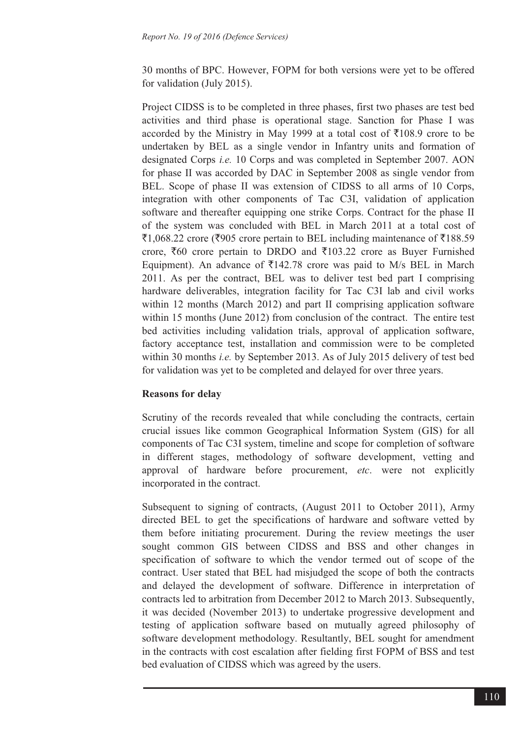30 months of BPC. However, FOPM for both versions were yet to be offered for validation (July 2015).

Project CIDSS is to be completed in three phases, first two phases are test bed activities and third phase is operational stage. Sanction for Phase I was accorded by the Ministry in May 1999 at a total cost of  $\overline{5}108.9$  crore to be undertaken by BEL as a single vendor in Infantry units and formation of designated Corps *i.e.* 10 Corps and was completed in September 2007. AON for phase II was accorded by DAC in September 2008 as single vendor from BEL. Scope of phase II was extension of CIDSS to all arms of 10 Corps, integration with other components of Tac C3I, validation of application software and thereafter equipping one strike Corps. Contract for the phase II of the system was concluded with BEL in March 2011 at a total cost of  $\bar{z}1,068.22$  crore ( $\bar{z}905$  crore pertain to BEL including maintenance of  $\bar{z}188.59$ crore,  $\bar{x}60$  crore pertain to DRDO and  $\bar{x}103.22$  crore as Buyer Furnished Equipment). An advance of  $\overline{5}142.78$  crore was paid to M/s BEL in March 2011. As per the contract, BEL was to deliver test bed part I comprising hardware deliverables, integration facility for Tac C3I lab and civil works within 12 months (March 2012) and part II comprising application software within 15 months (June 2012) from conclusion of the contract. The entire test bed activities including validation trials, approval of application software, factory acceptance test, installation and commission were to be completed within 30 months *i.e.* by September 2013. As of July 2015 delivery of test bed for validation was yet to be completed and delayed for over three years.

#### **Reasons for delay**

Scrutiny of the records revealed that while concluding the contracts, certain crucial issues like common Geographical Information System (GIS) for all components of Tac C3I system, timeline and scope for completion of software in different stages, methodology of software development, vetting and approval of hardware before procurement, *etc*. were not explicitly incorporated in the contract.

Subsequent to signing of contracts, (August 2011 to October 2011), Army directed BEL to get the specifications of hardware and software vetted by them before initiating procurement. During the review meetings the user sought common GIS between CIDSS and BSS and other changes in specification of software to which the vendor termed out of scope of the contract. User stated that BEL had misjudged the scope of both the contracts and delayed the development of software. Difference in interpretation of contracts led to arbitration from December 2012 to March 2013. Subsequently, it was decided (November 2013) to undertake progressive development and testing of application software based on mutually agreed philosophy of software development methodology. Resultantly, BEL sought for amendment in the contracts with cost escalation after fielding first FOPM of BSS and test bed evaluation of CIDSS which was agreed by the users.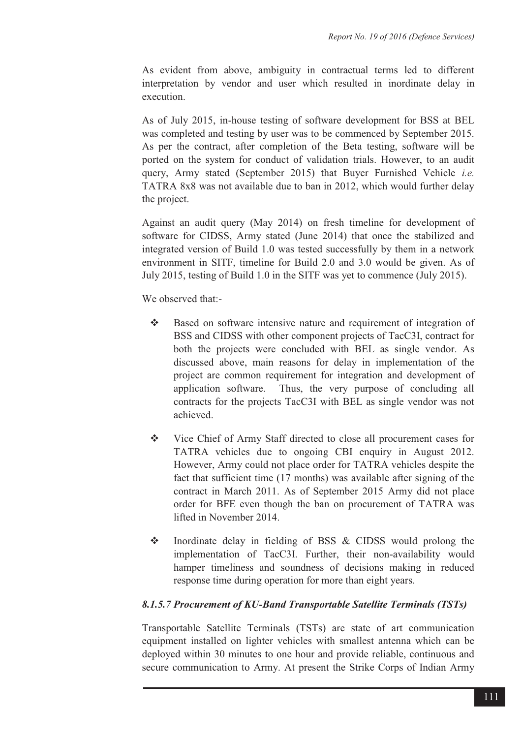As evident from above, ambiguity in contractual terms led to different interpretation by vendor and user which resulted in inordinate delay in execution.

As of July 2015, in-house testing of software development for BSS at BEL was completed and testing by user was to be commenced by September 2015. As per the contract, after completion of the Beta testing, software will be ported on the system for conduct of validation trials. However, to an audit query, Army stated (September 2015) that Buyer Furnished Vehicle *i.e.* TATRA 8x8 was not available due to ban in 2012, which would further delay the project.

Against an audit query (May 2014) on fresh timeline for development of software for CIDSS, Army stated (June 2014) that once the stabilized and integrated version of Build 1.0 was tested successfully by them in a network environment in SITF, timeline for Build 2.0 and 3.0 would be given. As of July 2015, testing of Build 1.0 in the SITF was yet to commence (July 2015).

We observed that --

- $\frac{1}{2}$  Based on software intensive nature and requirement of integration of BSS and CIDSS with other component projects of TacC3I, contract for both the projects were concluded with BEL as single vendor. As discussed above, main reasons for delay in implementation of the project are common requirement for integration and development of application software. Thus, the very purpose of concluding all contracts for the projects TacC3I with BEL as single vendor was not achieved.
- $\frac{1}{2}$  Vice Chief of Army Staff directed to close all procurement cases for TATRA vehicles due to ongoing CBI enquiry in August 2012. However, Army could not place order for TATRA vehicles despite the fact that sufficient time (17 months) was available after signing of the contract in March 2011. As of September 2015 Army did not place order for BFE even though the ban on procurement of TATRA was lifted in November 2014.
- $-1$  Inordinate delay in fielding of BSS & CIDSS would prolong the implementation of TacC3I. Further, their non-availability would hamper timeliness and soundness of decisions making in reduced response time during operation for more than eight years.

## *8.1.5.7 Procurement of KU-Band Transportable Satellite Terminals (TSTs)*

Transportable Satellite Terminals (TSTs) are state of art communication equipment installed on lighter vehicles with smallest antenna which can be deployed within 30 minutes to one hour and provide reliable, continuous and secure communication to Army. At present the Strike Corps of Indian Army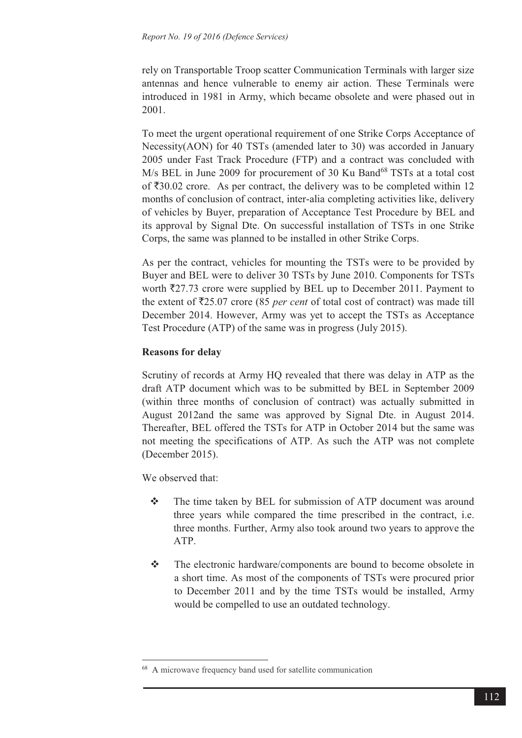rely on Transportable Troop scatter Communication Terminals with larger size antennas and hence vulnerable to enemy air action. These Terminals were introduced in 1981 in Army, which became obsolete and were phased out in 2001.

To meet the urgent operational requirement of one Strike Corps Acceptance of Necessity(AON) for 40 TSTs (amended later to 30) was accorded in January 2005 under Fast Track Procedure (FTP) and a contract was concluded with M/s BEL in June 2009 for procurement of 30 Ku Band<sup>68</sup> TSTs at a total cost of  $\overline{\xi}30.02$  crore. As per contract, the delivery was to be completed within 12 months of conclusion of contract, inter-alia completing activities like, delivery of vehicles by Buyer, preparation of Acceptance Test Procedure by BEL and its approval by Signal Dte. On successful installation of TSTs in one Strike Corps, the same was planned to be installed in other Strike Corps.

As per the contract, vehicles for mounting the TSTs were to be provided by Buyer and BEL were to deliver 30 TSTs by June 2010. Components for TSTs worth  $\overline{5}27.73$  crore were supplied by BEL up to December 2011. Payment to the extent of  $\overline{25.07}$  crore (85 *per cent* of total cost of contract) was made till December 2014. However, Army was yet to accept the TSTs as Acceptance Test Procedure (ATP) of the same was in progress (July 2015).

# **Reasons for delay**

Scrutiny of records at Army HQ revealed that there was delay in ATP as the draft ATP document which was to be submitted by BEL in September 2009 (within three months of conclusion of contract) was actually submitted in August 2012and the same was approved by Signal Dte. in August 2014. Thereafter, BEL offered the TSTs for ATP in October 2014 but the same was not meeting the specifications of ATP. As such the ATP was not complete (December 2015).

We observed that:

 $\overline{a}$ 

- $\frac{1}{2}$  The time taken by BEL for submission of ATP document was around three years while compared the time prescribed in the contract, i.e. three months. Further, Army also took around two years to approve the ATP.
- $\frac{1}{2}$  The electronic hardware/components are bound to become obsolete in a short time. As most of the components of TSTs were procured prior to December 2011 and by the time TSTs would be installed, Army would be compelled to use an outdated technology.

<sup>68</sup> A microwave frequency band used for satellite communication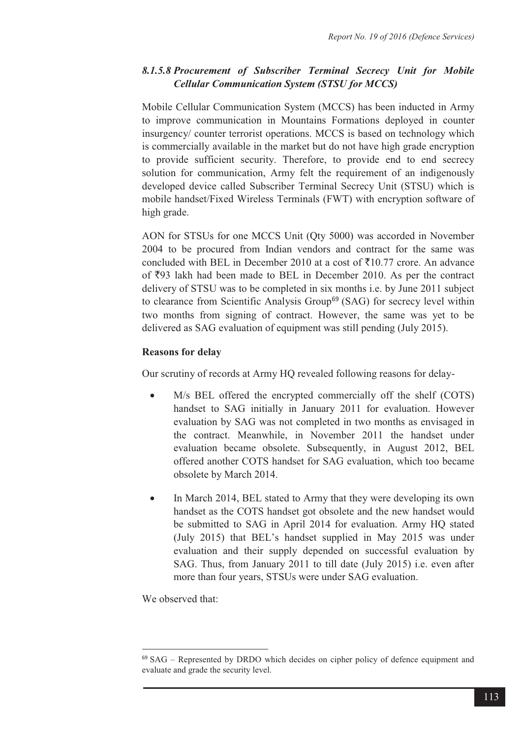# *8.1.5.8 Procurement of Subscriber Terminal Secrecy Unit for Mobile Cellular Communication System (STSU for MCCS)*

Mobile Cellular Communication System (MCCS) has been inducted in Army to improve communication in Mountains Formations deployed in counter insurgency/ counter terrorist operations. MCCS is based on technology which is commercially available in the market but do not have high grade encryption to provide sufficient security. Therefore, to provide end to end secrecy solution for communication, Army felt the requirement of an indigenously developed device called Subscriber Terminal Secrecy Unit (STSU) which is mobile handset/Fixed Wireless Terminals (FWT) with encryption software of high grade.

AON for STSUs for one MCCS Unit (Qty 5000) was accorded in November 2004 to be procured from Indian vendors and contract for the same was concluded with BEL in December 2010 at a cost of  $\overline{5}10.77$  crore. An advance of  $\overline{5}93$  lakh had been made to BEL in December 2010. As per the contract delivery of STSU was to be completed in six months i.e. by June 2011 subject to clearance from Scientific Analysis Group<sup>69</sup> (SAG) for secrecy level within two months from signing of contract. However, the same was yet to be delivered as SAG evaluation of equipment was still pending (July 2015).

## **Reasons for delay**

Our scrutiny of records at Army HQ revealed following reasons for delay-

- - M/s BEL offered the encrypted commercially off the shelf (COTS) handset to SAG initially in January 2011 for evaluation. However evaluation by SAG was not completed in two months as envisaged in the contract. Meanwhile, in November 2011 the handset under evaluation became obsolete. Subsequently, in August 2012, BEL offered another COTS handset for SAG evaluation, which too became obsolete by March 2014.
- $\bullet$  In March 2014, BEL stated to Army that they were developing its own handset as the COTS handset got obsolete and the new handset would be submitted to SAG in April 2014 for evaluation. Army HO stated (July 2015) that BEL's handset supplied in May 2015 was under evaluation and their supply depended on successful evaluation by SAG. Thus, from January 2011 to till date (July 2015) i.e. even after more than four years, STSUs were under SAG evaluation.

We observed that:

 $\overline{a}$ 

<sup>69</sup> SAG – Represented by DRDO which decides on cipher policy of defence equipment and evaluate and grade the security level.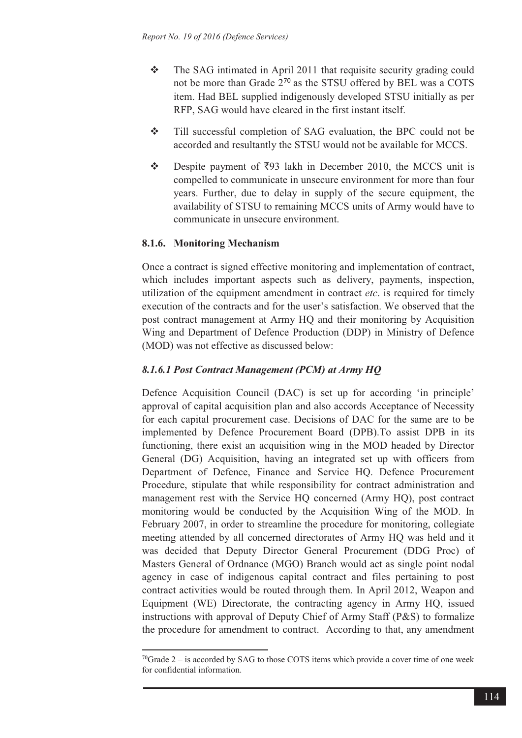- $\frac{1}{2}$  The SAG intimated in April 2011 that requisite security grading could not be more than Grade 2<sup>70</sup> as the STSU offered by BEL was a COTS item. Had BEL supplied indigenously developed STSU initially as per RFP, SAG would have cleared in the first instant itself.
- $\frac{1}{2}$  Till successful completion of SAG evaluation, the BPC could not be accorded and resultantly the STSU would not be available for MCCS.
- $\frac{1}{2}$ Despite payment of  $\overline{5}93$  lakh in December 2010, the MCCS unit is compelled to communicate in unsecure environment for more than four years. Further, due to delay in supply of the secure equipment, the availability of STSU to remaining MCCS units of Army would have to communicate in unsecure environment.

## **8.1.6. Monitoring Mechanism**

 $\overline{a}$ 

Once a contract is signed effective monitoring and implementation of contract, which includes important aspects such as delivery, payments, inspection, utilization of the equipment amendment in contract *etc*. is required for timely execution of the contracts and for the user's satisfaction. We observed that the post contract management at Army HQ and their monitoring by Acquisition Wing and Department of Defence Production (DDP) in Ministry of Defence (MOD) was not effective as discussed below:

#### *8.1.6.1 Post Contract Management (PCM) at Army HQ*

Defence Acquisition Council (DAC) is set up for according 'in principle' approval of capital acquisition plan and also accords Acceptance of Necessity for each capital procurement case. Decisions of DAC for the same are to be implemented by Defence Procurement Board (DPB).To assist DPB in its functioning, there exist an acquisition wing in the MOD headed by Director General (DG) Acquisition, having an integrated set up with officers from Department of Defence, Finance and Service HQ. Defence Procurement Procedure, stipulate that while responsibility for contract administration and management rest with the Service HQ concerned (Army HQ), post contract monitoring would be conducted by the Acquisition Wing of the MOD. In February 2007, in order to streamline the procedure for monitoring, collegiate meeting attended by all concerned directorates of Army HQ was held and it was decided that Deputy Director General Procurement (DDG Proc) of Masters General of Ordnance (MGO) Branch would act as single point nodal agency in case of indigenous capital contract and files pertaining to post contract activities would be routed through them. In April 2012, Weapon and Equipment (WE) Directorate, the contracting agency in Army HQ, issued instructions with approval of Deputy Chief of Army Staff (P&S) to formalize the procedure for amendment to contract. According to that, any amendment

<sup>&</sup>lt;sup>70</sup>Grade 2 – is accorded by SAG to those COTS items which provide a cover time of one week for confidential information.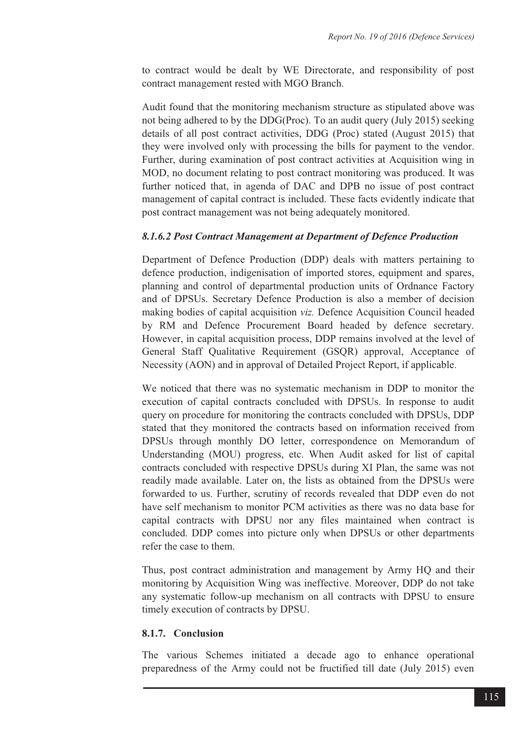to contract would be dealt by WE Directorate, and responsibility of post contract management rested with MGO Branch.

Audit found that the monitoring mechanism structure as stipulated above was not being adhered to by the DDG(Proc). To an audit query (July 2015) seeking details of all post contract activities, DDG (Proc) stated (August 2015) that they were involved only with processing the bills for payment to the vendor. Further, during examination of post contract activities at Acquisition wing in MOD, no document relating to post contract monitoring was produced. It was further noticed that, in agenda of DAC and DPB no issue of post contract management of capital contract is included. These facts evidently indicate that post contract management was not being adequately monitored.

## *8.1.6.2 Post Contract Management at Department of Defence Production*

Department of Defence Production (DDP) deals with matters pertaining to defence production, indigenisation of imported stores, equipment and spares, planning and control of departmental production units of Ordnance Factory and of DPSUs. Secretary Defence Production is also a member of decision making bodies of capital acquisition *viz.* Defence Acquisition Council headed by RM and Defence Procurement Board headed by defence secretary. However, in capital acquisition process, DDP remains involved at the level of General Staff Qualitative Requirement (GSQR) approval, Acceptance of Necessity (AON) and in approval of Detailed Project Report, if applicable.

We noticed that there was no systematic mechanism in DDP to monitor the execution of capital contracts concluded with DPSUs. In response to audit query on procedure for monitoring the contracts concluded with DPSUs, DDP stated that they monitored the contracts based on information received from DPSUs through monthly DO letter, correspondence on Memorandum of Understanding (MOU) progress, etc. When Audit asked for list of capital contracts concluded with respective DPSUs during XI Plan, the same was not readily made available. Later on, the lists as obtained from the DPSUs were forwarded to us. Further, scrutiny of records revealed that DDP even do not have self mechanism to monitor PCM activities as there was no data base for capital contracts with DPSU nor any files maintained when contract is concluded. DDP comes into picture only when DPSUs or other departments refer the case to them.

Thus, post contract administration and management by Army HQ and their monitoring by Acquisition Wing was ineffective. Moreover, DDP do not take any systematic follow-up mechanism on all contracts with DPSU to ensure timely execution of contracts by DPSU.

## **8.1.7. Conclusion**

The various Schemes initiated a decade ago to enhance operational preparedness of the Army could not be fructified till date (July 2015) even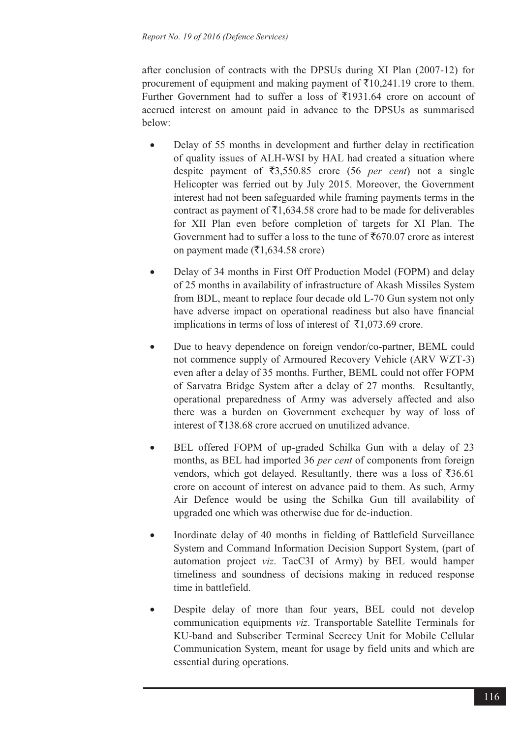after conclusion of contracts with the DPSUs during XI Plan (2007-12) for procurement of equipment and making payment of  $\bar{\tau}$ 10,241.19 crore to them. Further Government had to suffer a loss of  $\overline{5}1931.64$  crore on account of accrued interest on amount paid in advance to the DPSUs as summarised below:

- - Delay of 55 months in development and further delay in rectification of quality issues of ALH-WSI by HAL had created a situation where despite payment of  $\overline{53,550.85}$  crore (56 *per cent*) not a single Helicopter was ferried out by July 2015. Moreover, the Government interest had not been safeguarded while framing payments terms in the contract as payment of  $\bar{\mathfrak{z}}1,634.58$  crore had to be made for deliverables for XII Plan even before completion of targets for XI Plan. The Government had to suffer a loss to the tune of  $\bar{\tau}670.07$  crore as interest on payment made ( $\overline{\xi}$ 1,634.58 crore)
- $\bullet$  Delay of 34 months in First Off Production Model (FOPM) and delay of 25 months in availability of infrastructure of Akash Missiles System from BDL, meant to replace four decade old L-70 Gun system not only have adverse impact on operational readiness but also have financial implications in terms of loss of interest of  $\bar{\tau}1,073.69$  crore.
- - Due to heavy dependence on foreign vendor/co-partner, BEML could not commence supply of Armoured Recovery Vehicle (ARV WZT-3) even after a delay of 35 months. Further, BEML could not offer FOPM of Sarvatra Bridge System after a delay of 27 months. Resultantly, operational preparedness of Army was adversely affected and also there was a burden on Government exchequer by way of loss of interest of  $\bar{\tau}$ 138.68 crore accrued on unutilized advance.
- - BEL offered FOPM of up-graded Schilka Gun with a delay of 23 months, as BEL had imported 36 *per cent* of components from foreign vendors, which got delayed. Resultantly, there was a loss of  $\bar{\mathfrak{z}}36.61$ crore on account of interest on advance paid to them. As such, Army Air Defence would be using the Schilka Gun till availability of upgraded one which was otherwise due for de-induction.
- - Inordinate delay of 40 months in fielding of Battlefield Surveillance System and Command Information Decision Support System, (part of automation project *viz*. TacC3I of Army) by BEL would hamper timeliness and soundness of decisions making in reduced response time in battlefield.
- - Despite delay of more than four years, BEL could not develop communication equipments *viz*. Transportable Satellite Terminals for KU-band and Subscriber Terminal Secrecy Unit for Mobile Cellular Communication System, meant for usage by field units and which are essential during operations.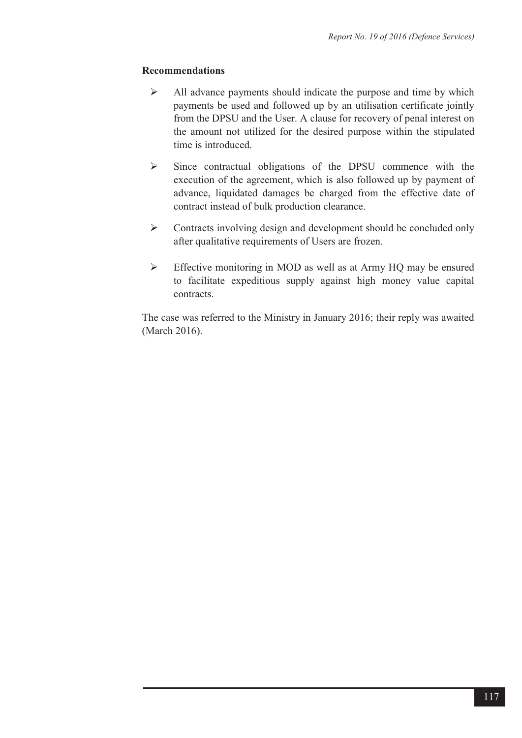#### **Recommendations**

- All advance payments should indicate the purpose and time by which payments be used and followed up by an utilisation certificate jointly from the DPSU and the User. A clause for recovery of penal interest on the amount not utilized for the desired purpose within the stipulated time is introduced.
- $\triangleright$  Since contractual obligations of the DPSU commence with the execution of the agreement, which is also followed up by payment of advance, liquidated damages be charged from the effective date of contract instead of bulk production clearance.
- $\triangleright$  Contracts involving design and development should be concluded only after qualitative requirements of Users are frozen.
- $\triangleright$  Effective monitoring in MOD as well as at Army HQ may be ensured to facilitate expeditious supply against high money value capital contracts.

The case was referred to the Ministry in January 2016; their reply was awaited (March 2016).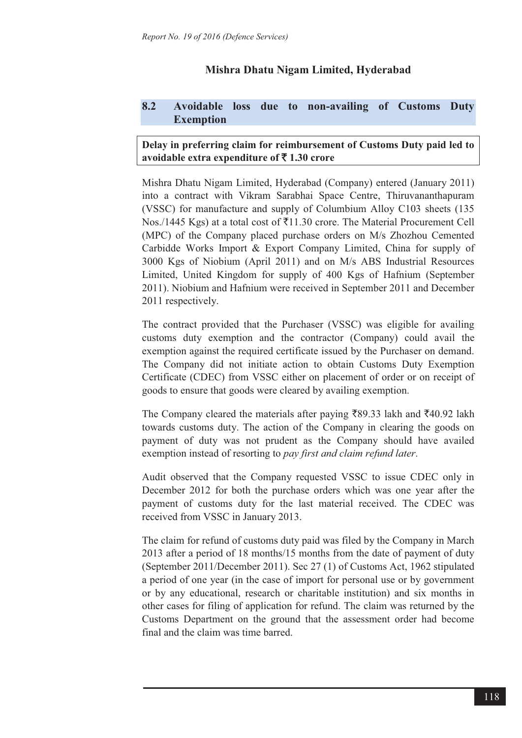# **Mishra Dhatu Nigam Limited, Hyderabad**

## **8.2 Avoidable loss due to non-availing of Customs Duty Exemption**

## **Delay in preferring claim for reimbursement of Customs Duty paid led to avoidable extra expenditure of ₹1.30 crore**

Mishra Dhatu Nigam Limited, Hyderabad (Company) entered (January 2011) into a contract with Vikram Sarabhai Space Centre, Thiruvananthapuram (VSSC) for manufacture and supply of Columbium Alloy C103 sheets (135 Nos./1445 Kgs) at a total cost of  $\bar{x}$ 11.30 crore. The Material Procurement Cell (MPC) of the Company placed purchase orders on M/s Zhozhou Cemented Carbidde Works Import & Export Company Limited, China for supply of 3000 Kgs of Niobium (April 2011) and on M/s ABS Industrial Resources Limited, United Kingdom for supply of 400 Kgs of Hafnium (September 2011). Niobium and Hafnium were received in September 2011 and December 2011 respectively.

The contract provided that the Purchaser (VSSC) was eligible for availing customs duty exemption and the contractor (Company) could avail the exemption against the required certificate issued by the Purchaser on demand. The Company did not initiate action to obtain Customs Duty Exemption Certificate (CDEC) from VSSC either on placement of order or on receipt of goods to ensure that goods were cleared by availing exemption.

The Company cleared the materials after paying  $\overline{\xi}89.33$  lakh and  $\overline{\xi}40.92$  lakh towards customs duty. The action of the Company in clearing the goods on payment of duty was not prudent as the Company should have availed exemption instead of resorting to *pay first and claim refund later*.

Audit observed that the Company requested VSSC to issue CDEC only in December 2012 for both the purchase orders which was one year after the payment of customs duty for the last material received. The CDEC was received from VSSC in January 2013.

The claim for refund of customs duty paid was filed by the Company in March 2013 after a period of 18 months/15 months from the date of payment of duty (September 2011/December 2011). Sec 27 (1) of Customs Act, 1962 stipulated a period of one year (in the case of import for personal use or by government or by any educational, research or charitable institution) and six months in other cases for filing of application for refund. The claim was returned by the Customs Department on the ground that the assessment order had become final and the claim was time barred.